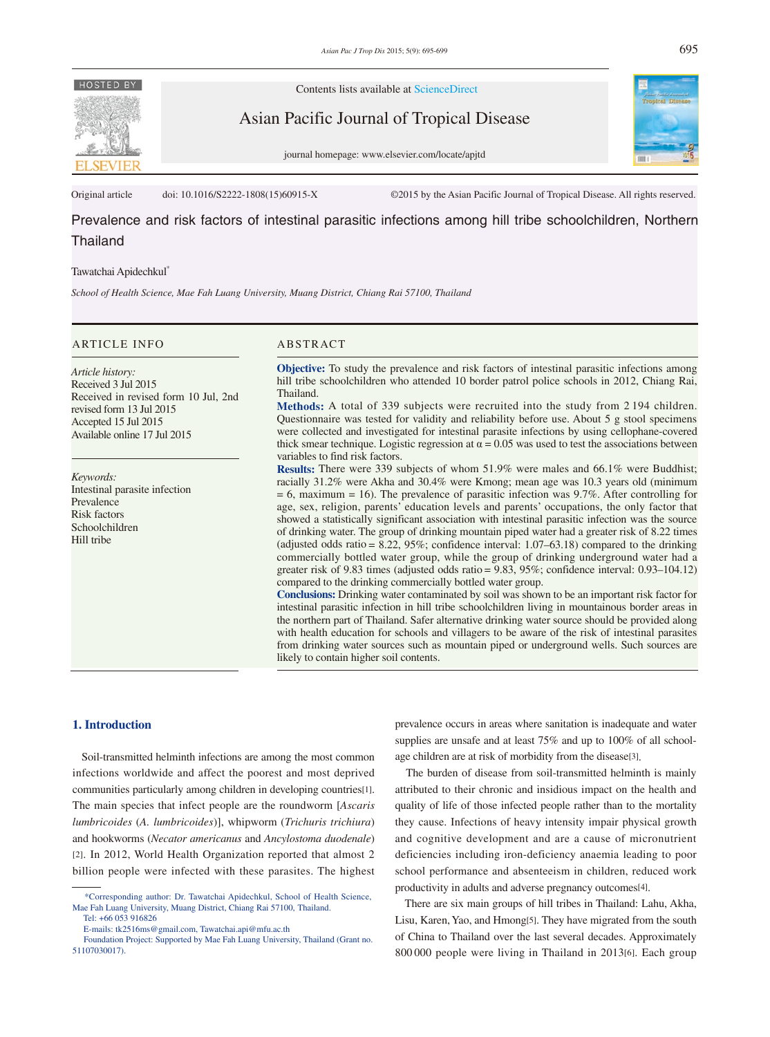

Contents lists available at ScienceDirect

Asian Pacific Journal of Tropical Disease

journal homepage: www.elsevier.com/locate/apjtd



Original article doi: 10.1016/S2222-1808(15)60915-X ©2015 by the Asian Pacific Journal of Tropical Disease. All rights reserved.

Prevalence and risk factors of intestinal parasitic infections among hill tribe schoolchildren, Northern Thailand

## Tawatchai Apidechkul\*

*School of Health Science, Mae Fah Luang University, Muang District, Chiang Rai 57100, Thailand*

# ARTICLE INFO ABSTRACT

*Article history:* Received 3 Jul 2015 Received in revised form 10 Jul, 2nd revised form 13 Jul 2015 Accepted 15 Jul 2015 Available online 17 Jul 2015

*Keywords:* Intestinal parasite infection Prevalence Risk factors Schoolchildren Hill tribe

**Objective:** To study the prevalence and risk factors of intestinal parasitic infections among hill tribe schoolchildren who attended 10 border patrol police schools in 2012, Chiang Rai, Thailand.

**Methods:** A total of 339 subjects were recruited into the study from 2 194 children. Questionnaire was tested for validity and reliability before use. About 5 g stool specimens were collected and investigated for intestinal parasite infections by using cellophane-covered thick smear technique. Logistic regression at  $\alpha = 0.05$  was used to test the associations between variables to find risk factors.

**Results:** There were 339 subjects of whom 51.9% were males and 66.1% were Buddhist; racially 31.2% were Akha and 30.4% were Kmong; mean age was 10.3 years old (minimum  $= 6$ , maximum  $= 16$ ). The prevalence of parasitic infection was 9.7%. After controlling for age, sex, religion, parents' education levels and parents' occupations, the only factor that showed a statistically significant association with intestinal parasitic infection was the source of drinking water. The group of drinking mountain piped water had a greater risk of 8.22 times (adjusted odds ratio = 8.22, 95%; confidence interval: 1.07–63.18) compared to the drinking commercially bottled water group, while the group of drinking underground water had a greater risk of 9.83 times (adjusted odds ratio = 9.83, 95%; confidence interval: 0.93–104.12) compared to the drinking commercially bottled water group.

**Conclusions:** Drinking water contaminated by soil was shown to be an important risk factor for intestinal parasitic infection in hill tribe schoolchildren living in mountainous border areas in the northern part of Thailand. Safer alternative drinking water source should be provided along with health education for schools and villagers to be aware of the risk of intestinal parasites from drinking water sources such as mountain piped or underground wells. Such sources are likely to contain higher soil contents.

## **1. Introduction**

 Soil-transmitted helminth infections are among the most common infections worldwide and affect the poorest and most deprived communities particularly among children in developing countries[1]. The main species that infect people are the roundworm [*Ascaris lumbricoides* (*A. lumbricoides*)], whipworm (*Trichuris trichiura*) and hookworms (*Necator americanus* and *Ancylostoma duodenale*) [2]. In 2012, World Health Organization reported that almost 2 billion people were infected with these parasites. The highest

prevalence occurs in areas where sanitation is inadequate and water supplies are unsafe and at least 75% and up to 100% of all schoolage children are at risk of morbidity from the disease[3].

 The burden of disease from soil-transmitted helminth is mainly attributed to their chronic and insidious impact on the health and quality of life of those infected people rather than to the mortality they cause. Infections of heavy intensity impair physical growth and cognitive development and are a cause of micronutrient deficiencies including iron-deficiency anaemia leading to poor school performance and absenteeism in children, reduced work productivity in adults and adverse pregnancy outcomes[4].

 There are six main groups of hill tribes in Thailand: Lahu, Akha, Lisu, Karen, Yao, and Hmong[5]. They have migrated from the south of China to Thailand over the last several decades. Approximately 800 000 people were living in Thailand in 2013[6]. Each group

 <sup>\*</sup>Corresponding author: Dr. Tawatchai Apidechkul, School of Health Science, Mae Fah Luang University, Muang District, Chiang Rai 57100, Thailand.

Tel: +66 053 916826

E-mails: tk2516ms@gmail.com, Tawatchai.api@mfu.ac.th

Foundation Project: Supported by Mae Fah Luang University, Thailand (Grant no. 51107030017).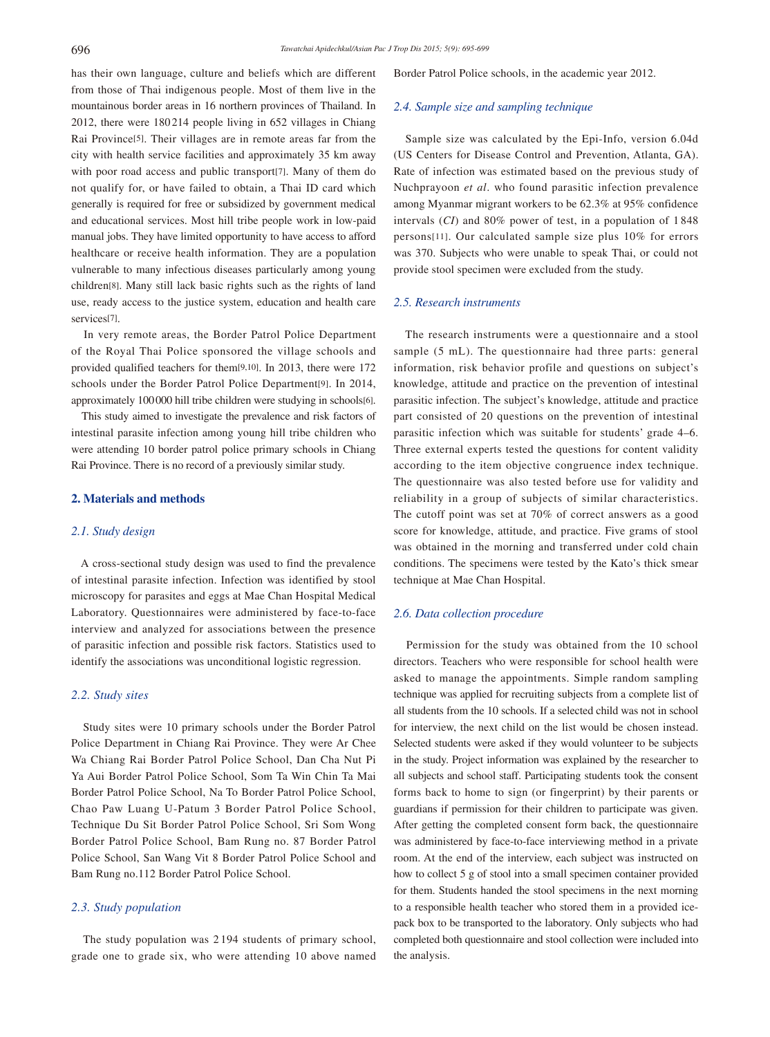has their own language, culture and beliefs which are different from those of Thai indigenous people. Most of them live in the mountainous border areas in 16 northern provinces of Thailand. In 2012, there were 180 214 people living in 652 villages in Chiang Rai Province[5]. Their villages are in remote areas far from the city with health service facilities and approximately 35 km away with poor road access and public transport[7]. Many of them do not qualify for, or have failed to obtain, a Thai ID card which generally is required for free or subsidized by government medical and educational services. Most hill tribe people work in low-paid manual jobs. They have limited opportunity to have access to afford healthcare or receive health information. They are a population vulnerable to many infectious diseases particularly among young children[8]. Many still lack basic rights such as the rights of land use, ready access to the justice system, education and health care services[7].

 In very remote areas, the Border Patrol Police Department of the Royal Thai Police sponsored the village schools and provided qualified teachers for them[9,10]. In 2013, there were 172 schools under the Border Patrol Police Department[9]. In 2014, approximately 100000 hill tribe children were studying in schools[6].

 This study aimed to investigate the prevalence and risk factors of intestinal parasite infection among young hill tribe children who were attending 10 border patrol police primary schools in Chiang Rai Province. There is no record of a previously similar study.

# **2. Materials and methods**

#### *2.1. Study design*

 A cross-sectional study design was used to find the prevalence of intestinal parasite infection. Infection was identified by stool microscopy for parasites and eggs at Mae Chan Hospital Medical Laboratory. Questionnaires were administered by face-to-face interview and analyzed for associations between the presence of parasitic infection and possible risk factors. Statistics used to identify the associations was unconditional logistic regression.

# *2.2. Study sites*

 Study sites were 10 primary schools under the Border Patrol Police Department in Chiang Rai Province. They were Ar Chee Wa Chiang Rai Border Patrol Police School, Dan Cha Nut Pi Ya Aui Border Patrol Police School, Som Ta Win Chin Ta Mai Border Patrol Police School, Na To Border Patrol Police School, Chao Paw Luang U-Patum 3 Border Patrol Police School, Technique Du Sit Border Patrol Police School, Sri Som Wong Border Patrol Police School, Bam Rung no. 87 Border Patrol Police School, San Wang Vit 8 Border Patrol Police School and Bam Rung no.112 Border Patrol Police School.

# *2.3. Study population*

 The study population was 2 194 students of primary school, grade one to grade six, who were attending 10 above named Border Patrol Police schools, in the academic year 2012.

#### *2.4. Sample size and sampling technique*

 Sample size was calculated by the Epi-Info, version 6.04d (US Centers for Disease Control and Prevention, Atlanta, GA). Rate of infection was estimated based on the previous study of Nuchprayoon *et al*. who found parasitic infection prevalence among Myanmar migrant workers to be 62.3% at 95% confidence intervals (*CI*) and 80% power of test, in a population of 1 848 persons[11]. Our calculated sample size plus 10% for errors was 370. Subjects who were unable to speak Thai, or could not provide stool specimen were excluded from the study.

#### *2.5. Research instruments*

 The research instruments were a questionnaire and a stool sample (5 mL). The questionnaire had three parts: general information, risk behavior profile and questions on subject's knowledge, attitude and practice on the prevention of intestinal parasitic infection. The subject's knowledge, attitude and practice part consisted of 20 questions on the prevention of intestinal parasitic infection which was suitable for students' grade 4–6. Three external experts tested the questions for content validity according to the item objective congruence index technique. The questionnaire was also tested before use for validity and reliability in a group of subjects of similar characteristics. The cutoff point was set at 70% of correct answers as a good score for knowledge, attitude, and practice. Five grams of stool was obtained in the morning and transferred under cold chain conditions. The specimens were tested by the Kato's thick smear technique at Mae Chan Hospital.

## *2.6. Data collection procedure*

 Permission for the study was obtained from the 10 school directors. Teachers who were responsible for school health were asked to manage the appointments. Simple random sampling technique was applied for recruiting subjects from a complete list of all students from the 10 schools. If a selected child was not in school for interview, the next child on the list would be chosen instead. Selected students were asked if they would volunteer to be subjects in the study. Project information was explained by the researcher to all subjects and school staff. Participating students took the consent forms back to home to sign (or fingerprint) by their parents or guardians if permission for their children to participate was given. After getting the completed consent form back, the questionnaire was administered by face-to-face interviewing method in a private room. At the end of the interview, each subject was instructed on how to collect 5 g of stool into a small specimen container provided for them. Students handed the stool specimens in the next morning to a responsible health teacher who stored them in a provided icepack box to be transported to the laboratory. Only subjects who had completed both questionnaire and stool collection were included into the analysis.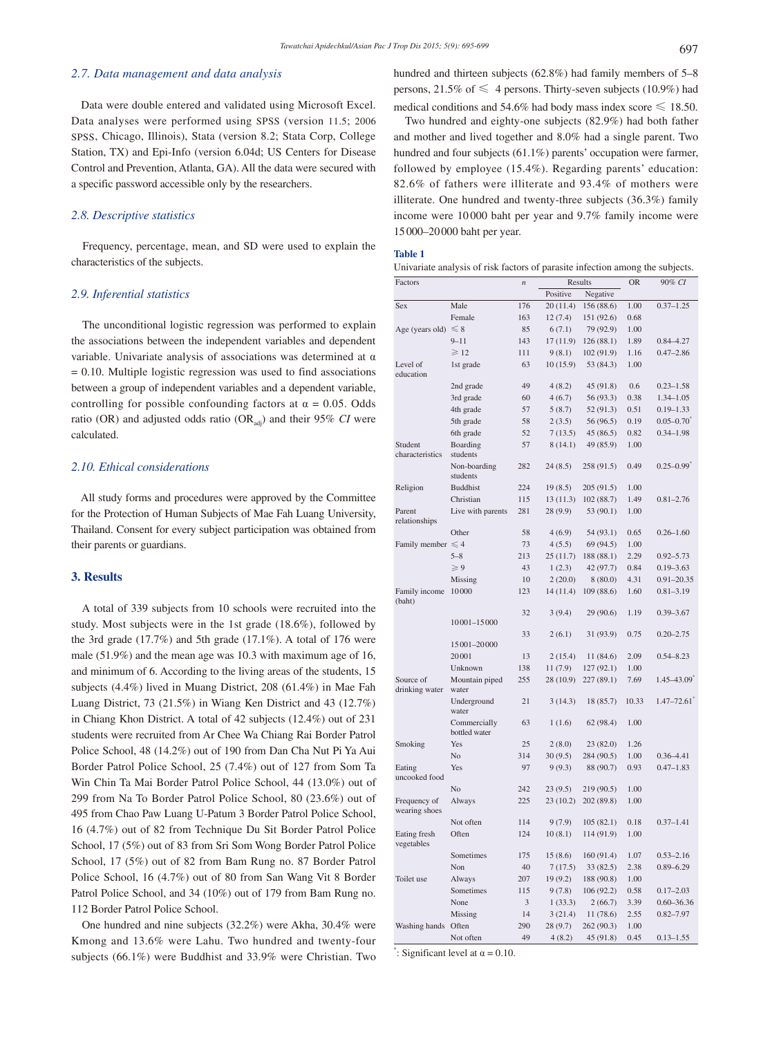## *2.7. Data management and data analysis*

 Data were double entered and validated using Microsoft Excel. Data analyses were performed using SPSS (version 11.5; 2006 SPSS, Chicago, Illinois), Stata (version 8.2; Stata Corp, College Station, TX) and Epi-Info (version 6.04d; US Centers for Disease Control and Prevention, Atlanta, GA). All the data were secured with a specific password accessible only by the researchers.

## *2.8. Descriptive statistics*

 Frequency, percentage, mean, and SD were used to explain the characteristics of the subjects.

# *2.9. Inferential statistics*

 The unconditional logistic regression was performed to explain the associations between the independent variables and dependent variable. Univariate analysis of associations was determined at  $\alpha$  $= 0.10$ . Multiple logistic regression was used to find associations between a group of independent variables and a dependent variable, controlling for possible confounding factors at  $\alpha = 0.05$ . Odds ratio (OR) and adjusted odds ratio (OR<sub>adi</sub>) and their 95% *CI* were calculated.

# *2.10. Ethical considerations*

 All study forms and procedures were approved by the Committee for the Protection of Human Subjects of Mae Fah Luang University, Thailand. Consent for every subject participation was obtained from their parents or guardians.

# **3. Results**

 A total of 339 subjects from 10 schools were recruited into the study. Most subjects were in the 1st grade (18.6%), followed by the 3rd grade (17.7%) and 5th grade (17.1%). A total of 176 were male (51.9%) and the mean age was 10.3 with maximum age of 16, and minimum of 6. According to the living areas of the students, 15 subjects (4.4%) lived in Muang District, 208 (61.4%) in Mae Fah Luang District, 73 (21.5%) in Wiang Ken District and 43 (12.7%) in Chiang Khon District. A total of 42 subjects (12.4%) out of 231 students were recruited from Ar Chee Wa Chiang Rai Border Patrol Police School, 48 (14.2%) out of 190 from Dan Cha Nut Pi Ya Aui Border Patrol Police School, 25 (7.4%) out of 127 from Som Ta Win Chin Ta Mai Border Patrol Police School, 44 (13.0%) out of 299 from Na To Border Patrol Police School, 80 (23.6%) out of 495 from Chao Paw Luang U-Patum 3 Border Patrol Police School, 16 (4.7%) out of 82 from Technique Du Sit Border Patrol Police School, 17 (5%) out of 83 from Sri Som Wong Border Patrol Police School, 17 (5%) out of 82 from Bam Rung no. 87 Border Patrol Police School, 16 (4.7%) out of 80 from San Wang Vit 8 Border Patrol Police School, and 34 (10%) out of 179 from Bam Rung no. 112 Border Patrol Police School.

 One hundred and nine subjects (32.2%) were Akha, 30.4% were Kmong and 13.6% were Lahu. Two hundred and twenty-four subjects (66.1%) were Buddhist and 33.9% were Christian. Two hundred and thirteen subjects (62.8%) had family members of 5–8 persons, 21.5% of  $\leq 4$  persons. Thirty-seven subjects (10.9%) had medical conditions and 54.6% had body mass index score  $\leq$  18.50.

 Two hundred and eighty-one subjects (82.9%) had both father and mother and lived together and 8.0% had a single parent. Two hundred and four subjects (61.1%) parents' occupation were farmer, followed by employee (15.4%). Regarding parents' education: 82.6% of fathers were illiterate and 93.4% of mothers were illiterate. One hundred and twenty-three subjects (36.3%) family income were 10 000 baht per year and 9.7% family income were 15000–20000 baht per year.

#### **Table 1**

| Univariate analysis of risk factors of parasite infection among the subjects. |          |  |
|-------------------------------------------------------------------------------|----------|--|
| $\Gamma$ <sub>2</sub> = 6 = $\mu$                                             | $D = -1$ |  |

| Factors                     |                   | $\boldsymbol{n}$ | Results   |            | <b>OR</b> | 90% CI                     |
|-----------------------------|-------------------|------------------|-----------|------------|-----------|----------------------------|
|                             |                   |                  | Positive  | Negative   |           |                            |
| Sex                         | Male              | 176              | 20(11.4)  | 156 (88.6) | 1.00      | $0.37 - 1.25$              |
|                             | Female            | 163              | 12(7.4)   | 151 (92.6) | 0.68      |                            |
| Age (years old)             | $\leq 8$          | 85               | 6(7.1)    | 79 (92.9)  | 1.00      |                            |
|                             | $9 - 11$          | 143              | 17 (11.9) | 126 (88.1) | 1.89      | $0.84 - 4.27$              |
|                             | $\geqslant$ 12    | 111              | 9(8.1)    | 102 (91.9) | 1.16      | $0.47 - 2.86$              |
| Level of                    | 1st grade         | 63               | 10(15.9)  | 53 (84.3)  | 1.00      |                            |
| education                   |                   |                  |           |            |           |                            |
|                             | 2nd grade         | 49               | 4(8.2)    | 45 (91.8)  | 0.6       | $0.23 - 1.58$              |
|                             | 3rd grade         | 60               |           |            |           |                            |
|                             |                   |                  | 4(6.7)    | 56 (93.3)  | 0.38      | $1.34 - 1.05$              |
|                             | 4th grade         | 57               | 5(8.7)    | 52 (91.3)  | 0.51      | $0.19 - 1.33$              |
|                             | 5th grade         | 58               | 2(3.5)    | 56 (96.5)  | 0.19      | $0.05 - 0.70$ <sup>*</sup> |
|                             | 6th grade         | 52               | 7(13.5)   | 45 (86.5)  | 0.82      | $0.34 - 1.98$              |
| Student                     | Boarding          | 57               | 8(14.1)   | 49 (85.9)  | 1.00      |                            |
| characteristics             | students          |                  |           |            |           |                            |
|                             | Non-boarding      | 282              | 24(8.5)   | 258 (91.5) | 0.49      | $0.25 - 0.99$ <sup>*</sup> |
|                             | students          |                  |           |            |           |                            |
| Religion                    | <b>Buddhist</b>   | 224              | 19(8.5)   | 205 (91.5) | 1.00      |                            |
|                             | Christian         | 115              | 13 (11.3) | 102 (88.7) | 1.49      | $0.81 - 2.76$              |
| Parent                      | Live with parents | 281              | 28 (9.9)  | 53 (90.1)  | 1.00      |                            |
| relationships               |                   |                  |           |            |           |                            |
|                             | Other             | 58               | 4(6.9)    | 54(93.1)   | 0.65      | $0.26 - 1.60$              |
| Family member $\leqslant$ 4 |                   | 73               | 4(5.5)    | 69 (94.5)  | 1.00      |                            |
|                             | $5 - 8$           | 213              | 25 (11.7) | 188 (88.1) | 2.29      | $0.92 - 5.73$              |
|                             | $\geqslant 9$     | 43               | 1(2.3)    | 42 (97.7)  | 0.84      | $0.19 - 3.63$              |
|                             | Missing           | 10               | 2(20.0)   | 8(80.0)    | 4.31      | $0.91 - 20.35$             |
| Family income               | 10000             | 123              | 14 (11.4) | 109 (88.6) | 1.60      | $0.81 - 3.19$              |
| (baht)                      |                   |                  |           |            |           |                            |
|                             | 10001-15000       | 32               | 3(9.4)    | 29 (90.6)  | 1.19      | $0.39 - 3.67$              |
|                             |                   | 33               | 2(6.1)    | 31 (93.9)  | 0.75      | $0.20 - 2.75$              |
|                             | 15 001 - 20 000   |                  |           |            |           |                            |
|                             | 20001             | 13               | 2(15.4)   | 11 (84.6)  | 2.09      | $0.54 - 8.23$              |
|                             | Unknown           | 138              | 11(7.9)   | 127 (92.1) | 1.00      |                            |
| Source of                   | Mountain piped    | 255              | 28 (10.9) | 227 (89.1) | 7.69      | $1.45 - 43.09$             |
| drinking water              | water             |                  |           |            |           |                            |
|                             | Underground       | 21               | 3(14.3)   | 18 (85.7)  | 10.33     | $1.47 - 72.61$             |
|                             | water             |                  |           |            |           |                            |
|                             | Commercially      | 63               | 1(1.6)    | 62 (98.4)  | 1.00      |                            |
|                             | bottled water     |                  |           |            |           |                            |
| Smoking                     | Yes               | 25               | 2(8.0)    | 23 (82.0)  | 1.26      |                            |
|                             | No                | 314              | 30(9.5)   | 284 (90.5) | 1.00      | $0.36 - 4.41$              |
| Eating                      | Yes               | 97               | 9(9.3)    | 88 (90.7)  | 0.93      | $0.47 - 1.83$              |
| uncooked food               |                   |                  |           |            |           |                            |
|                             | No                | 242              | 23(9.5)   | 219 (90.5) | 1.00      |                            |
| Frequency of                | Always            | 225              | 23 (10.2) | 202 (89.8) | 1.00      |                            |
| wearing shoes               |                   |                  |           |            |           |                            |
|                             | Not often         | 114              | 9(7.9)    | 105(82.1)  | 0.18      | $0.37 - 1.41$              |
| Eating fresh                | Often             | 124              | 10(8.1)   | 114 (91.9) | 1.00      |                            |
| vegetables                  |                   |                  |           |            |           |                            |
|                             | Sometimes         | 175              | 15(8.6)   | 160 (91.4) | 1.07      | $0.53 - 2.16$              |
|                             | Non               | 40               | 7(17.5)   | 33 (82.5)  | 2.38      | $0.89 - 6.29$              |
| Toilet use                  | Always            | 207              | 19 (9.2)  | 188 (90.8) | 1.00      |                            |
|                             | Sometimes         | 115              | 9(7.8)    | 106 (92.2) | 0.58      | $0.17 - 2.03$              |
|                             | None              | 3                | 1(33.3)   | 2(66.7)    | 3.39      | $0.60 - 36.36$             |
|                             | Missing           | 14               | 3(21.4)   | 11 (78.6)  | 2.55      | $0.82 - 7.97$              |
| Washing hands Often         |                   | 290              | 28(9.7)   | 262 (90.3) | 1.00      |                            |
|                             | Not often         | 49               | 4(8.2)    | 45 (91.8)  | 0.45      | $0.13 - 1.55$              |

": Significant level at  $\alpha = 0.10$ .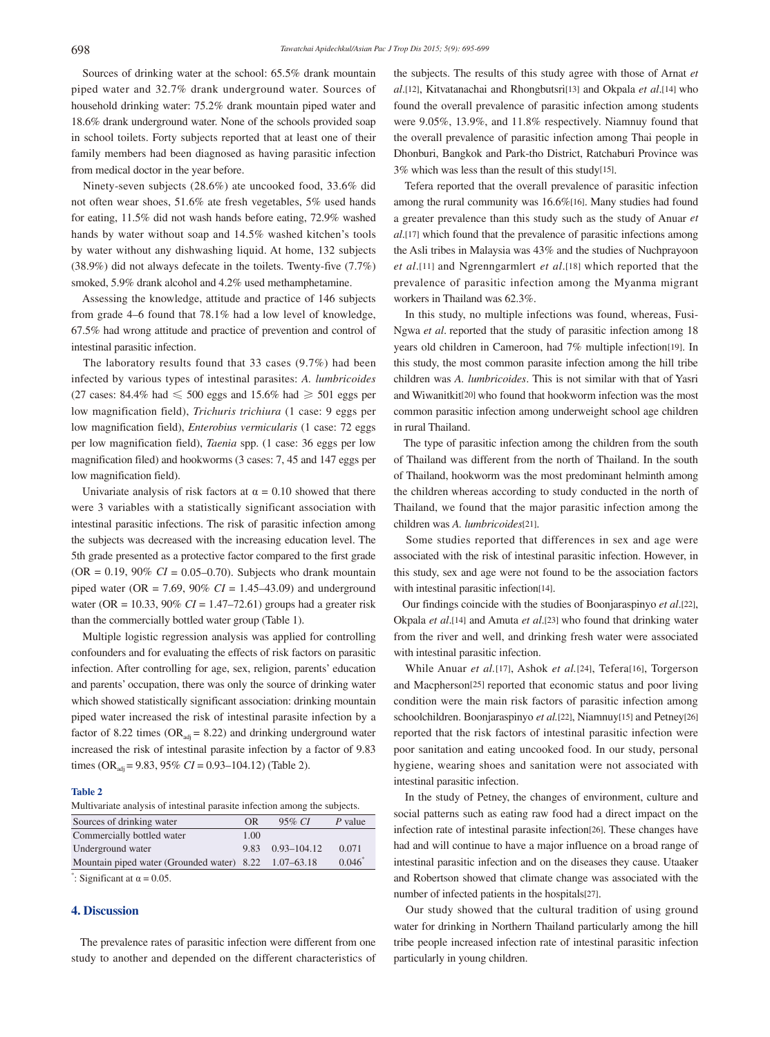Sources of drinking water at the school: 65.5% drank mountain piped water and 32.7% drank underground water. Sources of household drinking water: 75.2% drank mountain piped water and 18.6% drank underground water. None of the schools provided soap in school toilets. Forty subjects reported that at least one of their family members had been diagnosed as having parasitic infection from medical doctor in the year before.

 Ninety-seven subjects (28.6%) ate uncooked food, 33.6% did not often wear shoes, 51.6% ate fresh vegetables, 5% used hands for eating, 11.5% did not wash hands before eating, 72.9% washed hands by water without soap and 14.5% washed kitchen's tools by water without any dishwashing liquid. At home, 132 subjects (38.9%) did not always defecate in the toilets. Twenty-five (7.7%) smoked, 5.9% drank alcohol and 4.2% used methamphetamine.

 Assessing the knowledge, attitude and practice of 146 subjects from grade 4–6 found that 78.1% had a low level of knowledge, 67.5% had wrong attitude and practice of prevention and control of intestinal parasitic infection.

 The laboratory results found that 33 cases (9.7%) had been infected by various types of intestinal parasites: *A. lumbricoides* (27 cases: 84.4% had  $\leq 500$  eggs and 15.6% had  $\geq 501$  eggs per low magnification field), *Trichuris trichiura* (1 case: 9 eggs per low magnification field), *Enterobius vermicularis* (1 case: 72 eggs per low magnification field), *Taenia* spp. (1 case: 36 eggs per low magnification filed) and hookworms (3 cases: 7, 45 and 147 eggs per low magnification field).

Univariate analysis of risk factors at  $\alpha = 0.10$  showed that there were 3 variables with a statistically significant association with intestinal parasitic infections. The risk of parasitic infection among the subjects was decreased with the increasing education level. The 5th grade presented as a protective factor compared to the first grade  $(OR = 0.19, 90\% \ CI = 0.05 - 0.70)$ . Subjects who drank mountain piped water (OR = 7.69, 90% *CI* = 1.45–43.09) and underground water (OR = 10.33, 90% *CI* = 1.47–72.61) groups had a greater risk than the commercially bottled water group (Table 1).

 Multiple logistic regression analysis was applied for controlling confounders and for evaluating the effects of risk factors on parasitic infection. After controlling for age, sex, religion, parents' education and parents' occupation, there was only the source of drinking water which showed statistically significant association: drinking mountain piped water increased the risk of intestinal parasite infection by a factor of 8.22 times (OR<sub>adi</sub> = 8.22) and drinking underground water increased the risk of intestinal parasite infection by a factor of 9.83 times (OR<sub>adj</sub> = 9.83, 95% *CI* = 0.93–104.12) (Table 2).

#### **Table 2**

Multivariate analysis of intestinal parasite infection among the subjects.

| Sources of drinking water                             | OR   | $95\% CI$        | $P$ value |
|-------------------------------------------------------|------|------------------|-----------|
| Commercially bottled water                            | 1.00 |                  |           |
| Underground water                                     |      | 9.83 0.93-104.12 | 0.071     |
| Mountain piped water (Grounded water) 8.22 1.07–63.18 |      |                  | $0.046^*$ |
| $^*$ at the set of $\Omega$                           |      |                  |           |

 $\degree$ : Significant at  $\alpha = 0.05$ .

# **4. Discussion**

 The prevalence rates of parasitic infection were different from one study to another and depended on the different characteristics of the subjects. The results of this study agree with those of Arnat *et al*.[12], Kitvatanachai and Rhongbutsri[13] and Okpala *et al*.[14] who found the overall prevalence of parasitic infection among students were 9.05%, 13.9%, and 11.8% respectively. Niamnuy found that the overall prevalence of parasitic infection among Thai people in Dhonburi, Bangkok and Park-tho District, Ratchaburi Province was 3% which was less than the result of this study[15].

 Tefera reported that the overall prevalence of parasitic infection among the rural community was 16.6%[16]. Many studies had found a greater prevalence than this study such as the study of Anuar *et al*.[17] which found that the prevalence of parasitic infections among the Asli tribes in Malaysia was 43% and the studies of Nuchprayoon *et al*.[11] and Ngrenngarmlert *et al*.[18] which reported that the prevalence of parasitic infection among the Myanma migrant workers in Thailand was 62.3%.

 In this study, no multiple infections was found, whereas, Fusi-Ngwa *et al*. reported that the study of parasitic infection among 18 years old children in Cameroon, had 7% multiple infection[19]. In this study, the most common parasite infection among the hill tribe children was *A. lumbricoides*. This is not similar with that of Yasri and Wiwanitkit[20] who found that hookworm infection was the most common parasitic infection among underweight school age children in rural Thailand.

 The type of parasitic infection among the children from the south of Thailand was different from the north of Thailand. In the south of Thailand, hookworm was the most predominant helminth among the children whereas according to study conducted in the north of Thailand, we found that the major parasitic infection among the children was *A. lumbricoides*[21].

 Some studies reported that differences in sex and age were associated with the risk of intestinal parasitic infection. However, in this study, sex and age were not found to be the association factors with intestinal parasitic infection[14].

 Our findings coincide with the studies of Boonjaraspinyo *et al*.[22], Okpala *et al*.[14] and Amuta *et al*.[23] who found that drinking water from the river and well, and drinking fresh water were associated with intestinal parasitic infection.

 While Anuar *et al.*[17], Ashok *et al.*[24], Tefera[16], Torgerson and Macpherson[25] reported that economic status and poor living condition were the main risk factors of parasitic infection among schoolchildren. Boonjaraspinyo et al.<sup>[22]</sup>, Niamnuy<sup>[15]</sup> and Petney<sup>[26]</sup> reported that the risk factors of intestinal parasitic infection were poor sanitation and eating uncooked food. In our study, personal hygiene, wearing shoes and sanitation were not associated with intestinal parasitic infection.

 In the study of Petney, the changes of environment, culture and social patterns such as eating raw food had a direct impact on the infection rate of intestinal parasite infection[26]. These changes have had and will continue to have a major influence on a broad range of intestinal parasitic infection and on the diseases they cause. Utaaker and Robertson showed that climate change was associated with the number of infected patients in the hospitals[27].

 Our study showed that the cultural tradition of using ground water for drinking in Northern Thailand particularly among the hill tribe people increased infection rate of intestinal parasitic infection particularly in young children.